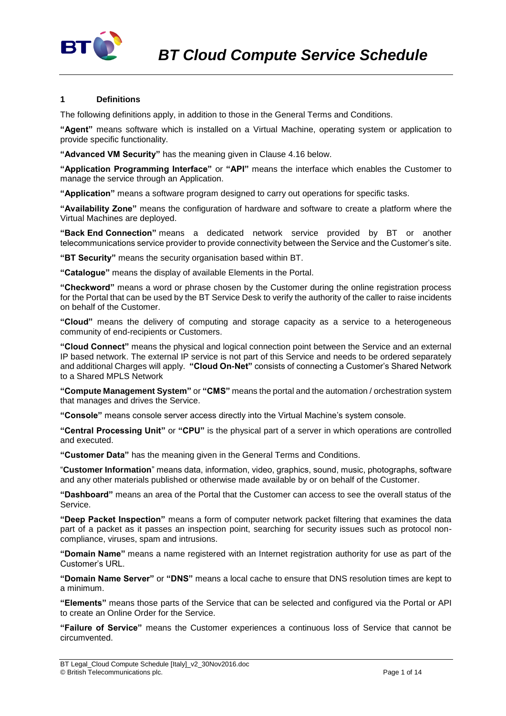

## **1 Definitions**

The following definitions apply, in addition to those in the General Terms and Conditions.

**"Agent"** means software which is installed on a Virtual Machine, operating system or application to provide specific functionality.

**"Advanced VM Security"** has the meaning given in Clause 4.16 below.

**"Application Programming Interface"** or **"API"** means the interface which enables the Customer to manage the service through an Application.

**"Application"** means a software program designed to carry out operations for specific tasks.

**"Availability Zone"** means the configuration of hardware and software to create a platform where the Virtual Machines are deployed.

**"Back End Connection"** means a dedicated network service provided by BT or another telecommunications service provider to provide connectivity between the Service and the Customer's site.

**"BT Security"** means the security organisation based within BT.

**"Catalogue"** means the display of available Elements in the Portal.

**"Checkword"** means a word or phrase chosen by the Customer during the online registration process for the Portal that can be used by the BT Service Desk to verify the authority of the caller to raise incidents on behalf of the Customer.

**"Cloud"** means the delivery of computing and storage capacity as a service to a heterogeneous community of end-recipients or Customers.

**"Cloud Connect"** means the physical and logical connection point between the Service and an external IP based network. The external IP service is not part of this Service and needs to be ordered separately and additional Charges will apply. **"Cloud On-Net"** consists of connecting a Customer's Shared Network to a Shared MPLS Network

**"Compute Management System"** or **"CMS"** means the portal and the automation / orchestration system that manages and drives the Service.

**"Console"** means console server access directly into the Virtual Machine's system console.

**"Central Processing Unit"** or **"CPU"** is the physical part of a server in which operations are controlled and executed.

**"Customer Data"** has the meaning given in the General Terms and Conditions.

"**Customer Information**" means data, information, video, graphics, sound, music, photographs, software and any other materials published or otherwise made available by or on behalf of the Customer.

**"Dashboard"** means an area of the Portal that the Customer can access to see the overall status of the Service.

**"Deep Packet Inspection"** means a form of computer network packet filtering that examines the data part of a packet as it passes an inspection point, searching for security issues such as protocol noncompliance, viruses, spam and intrusions.

**"Domain Name"** means a name registered with an Internet registration authority for use as part of the Customer's URL.

**"Domain Name Server"** or **"DNS"** means a local cache to ensure that DNS resolution times are kept to a minimum.

**"Elements"** means those parts of the Service that can be selected and configured via the Portal or API to create an Online Order for the Service.

**"Failure of Service"** means the Customer experiences a continuous loss of Service that cannot be circumvented.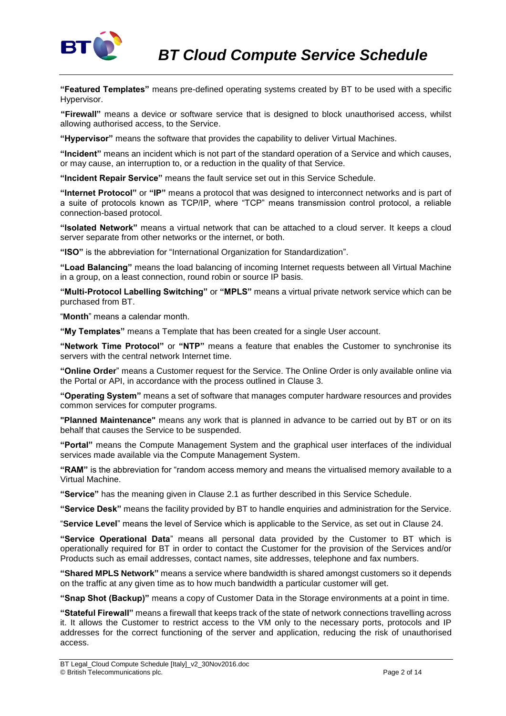

**"Featured Templates"** means pre-defined operating systems created by BT to be used with a specific Hypervisor.

**"Firewall"** means a device or software service that is designed to block unauthorised access, whilst allowing authorised access, to the Service.

**"Hypervisor"** means the software that provides the capability to deliver Virtual Machines.

**"Incident"** means an incident which is not part of the standard operation of a Service and which causes, or may cause, an interruption to, or a reduction in the quality of that Service.

**"Incident Repair Service"** means the fault service set out in this Service Schedule.

**"Internet Protocol"** or **"IP"** means a protocol that was designed to interconnect networks and is part of a suite of protocols known as TCP/IP, where "TCP" means transmission control protocol, a reliable connection-based protocol.

**"Isolated Network"** means a virtual network that can be attached to a cloud server. It keeps a cloud server separate from other networks or the internet, or both.

**"ISO"** is the abbreviation for "International Organization for Standardization".

**"Load Balancing"** means the load balancing of incoming Internet requests between all Virtual Machine in a group, on a least connection, round robin or source IP basis.

**"Multi-Protocol Labelling Switching"** or **"MPLS"** means a virtual private network service which can be purchased from BT.

"**Month**" means a calendar month.

**"My Templates"** means a Template that has been created for a single User account.

**"Network Time Protocol"** or **"NTP"** means a feature that enables the Customer to synchronise its servers with the central network Internet time.

**"Online Order**" means a Customer request for the Service. The Online Order is only available online via the Portal or API, in accordance with the process outlined in Clause 3.

**"Operating System"** means a set of software that manages computer hardware resources and provides common services for computer programs.

**"Planned Maintenance"** means any work that is planned in advance to be carried out by BT or on its behalf that causes the Service to be suspended.

**"Portal"** means the Compute Management System and the graphical user interfaces of the individual services made available via the Compute Management System.

**"RAM"** is the abbreviation for "random access memory and means the virtualised memory available to a Virtual Machine.

**"Service"** has the meaning given in Clause 2.1 as further described in this Service Schedule.

**"Service Desk"** means the facility provided by BT to handle enquiries and administration for the Service.

"**Service Level**" means the level of Service which is applicable to the Service, as set out in Clause 24.

**"Service Operational Data**" means all personal data provided by the Customer to BT which is operationally required for BT in order to contact the Customer for the provision of the Services and/or Products such as email addresses, contact names, site addresses, telephone and fax numbers.

**"Shared MPLS Network"** means a service where bandwidth is shared amongst customers so it depends on the traffic at any given time as to how much bandwidth a particular customer will get.

**"Snap Shot (Backup)"** means a copy of Customer Data in the Storage environments at a point in time.

**"Stateful Firewall"** means a firewall that keeps track of the state of network connections travelling across it. It allows the Customer to restrict access to the VM only to the necessary ports, protocols and IP addresses for the correct functioning of the server and application, reducing the risk of unauthorised access.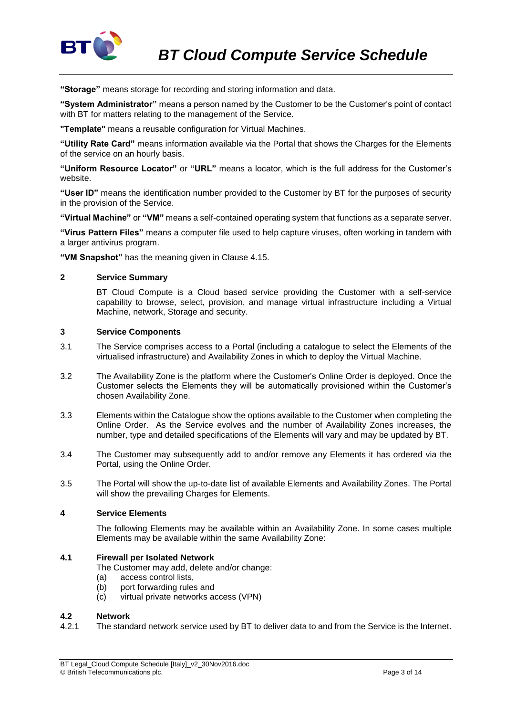

**"Storage"** means storage for recording and storing information and data.

**"System Administrator"** means a person named by the Customer to be the Customer's point of contact with BT for matters relating to the management of the Service.

**"Template"** means a reusable configuration for Virtual Machines.

**"Utility Rate Card"** means information available via the Portal that shows the Charges for the Elements of the service on an hourly basis.

**"Uniform Resource Locator"** or **"URL"** means a locator, which is the full address for the Customer's website.

**"User ID"** means the identification number provided to the Customer by BT for the purposes of security in the provision of the Service.

**"Virtual Machine"** or **"VM"** means a self-contained operating system that functions as a separate server.

**"Virus Pattern Files"** means a computer file used to help capture viruses, often working in tandem with a larger antivirus program.

**"VM Snapshot"** has the meaning given in Clause 4.15.

## **2 Service Summary**

BT Cloud Compute is a Cloud based service providing the Customer with a self-service capability to browse, select, provision, and manage virtual infrastructure including a Virtual Machine, network, Storage and security.

#### **3 Service Components**

- 3.1 The Service comprises access to a Portal (including a catalogue to select the Elements of the virtualised infrastructure) and Availability Zones in which to deploy the Virtual Machine.
- 3.2 The Availability Zone is the platform where the Customer's Online Order is deployed. Once the Customer selects the Elements they will be automatically provisioned within the Customer's chosen Availability Zone.
- 3.3 Elements within the Catalogue show the options available to the Customer when completing the Online Order. As the Service evolves and the number of Availability Zones increases, the number, type and detailed specifications of the Elements will vary and may be updated by BT.
- 3.4 The Customer may subsequently add to and/or remove any Elements it has ordered via the Portal, using the Online Order.
- 3.5 The Portal will show the up-to-date list of available Elements and Availability Zones. The Portal will show the prevailing Charges for Elements.

#### **4 Service Elements**

The following Elements may be available within an Availability Zone. In some cases multiple Elements may be available within the same Availability Zone:

### **4.1 Firewall per Isolated Network**

The Customer may add, delete and/or change:

- (a) access control lists,
- (b) port forwarding rules and
- (c) virtual private networks access (VPN)

#### **4.2 Network**

4.2.1 The standard network service used by BT to deliver data to and from the Service is the Internet.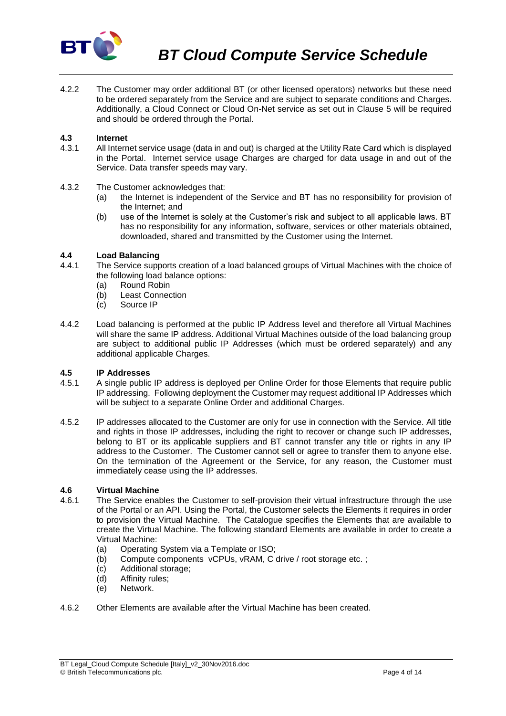

4.2.2 The Customer may order additional BT (or other licensed operators) networks but these need to be ordered separately from the Service and are subject to separate conditions and Charges. Additionally, a Cloud Connect or Cloud On-Net service as set out in Clause 5 will be required and should be ordered through the Portal.

#### **4.3 Internet**

- 4.3.1 All Internet service usage (data in and out) is charged at the Utility Rate Card which is displayed in the Portal. Internet service usage Charges are charged for data usage in and out of the Service. Data transfer speeds may vary.
- 4.3.2 The Customer acknowledges that:
	- (a) the Internet is independent of the Service and BT has no responsibility for provision of the Internet; and
	- (b) use of the Internet is solely at the Customer's risk and subject to all applicable laws. BT has no responsibility for any information, software, services or other materials obtained, downloaded, shared and transmitted by the Customer using the Internet.

# **4.4 Load Balancing**

- The Service supports creation of a load balanced groups of Virtual Machines with the choice of the following load balance options:
	- (a) Round Robin
	- (b) Least Connection
	- (c) Source IP
- 4.4.2 Load balancing is performed at the public IP Address level and therefore all Virtual Machines will share the same IP address. Additional Virtual Machines outside of the load balancing group are subject to additional public IP Addresses (which must be ordered separately) and any additional applicable Charges.

#### **4.5 IP Addresses**

- 4.5.1 A single public IP address is deployed per Online Order for those Elements that require public IP addressing. Following deployment the Customer may request additional IP Addresses which will be subject to a separate Online Order and additional Charges.
- 4.5.2 IP addresses allocated to the Customer are only for use in connection with the Service. All title and rights in those IP addresses, including the right to recover or change such IP addresses, belong to BT or its applicable suppliers and BT cannot transfer any title or rights in any IP address to the Customer. The Customer cannot sell or agree to transfer them to anyone else. On the termination of the Agreement or the Service, for any reason, the Customer must immediately cease using the IP addresses.

## **4.6 Virtual Machine**

- The Service enables the Customer to self-provision their virtual infrastructure through the use of the Portal or an API. Using the Portal, the Customer selects the Elements it requires in order to provision the Virtual Machine. The Catalogue specifies the Elements that are available to create the Virtual Machine. The following standard Elements are available in order to create a Virtual Machine:
	- (a) Operating System via a Template or ISO;
	- (b) Compute components vCPUs, vRAM, C drive / root storage etc. ;
	- (c) Additional storage;
	- (d) Affinity rules;
	- (e) Network.
- 4.6.2 Other Elements are available after the Virtual Machine has been created.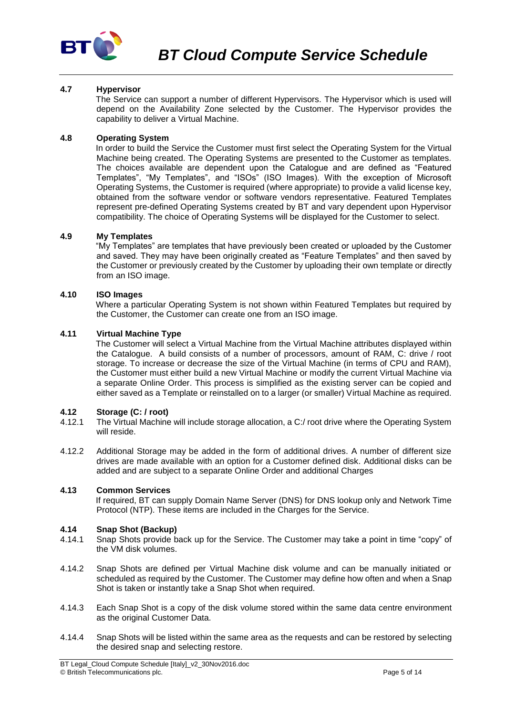

## **4.7 Hypervisor**

The Service can support a number of different Hypervisors. The Hypervisor which is used will depend on the Availability Zone selected by the Customer. The Hypervisor provides the capability to deliver a Virtual Machine.

#### **4.8 Operating System**

In order to build the Service the Customer must first select the Operating System for the Virtual Machine being created. The Operating Systems are presented to the Customer as templates. The choices available are dependent upon the Catalogue and are defined as "Featured Templates", "My Templates", and "ISOs" (ISO Images). With the exception of Microsoft Operating Systems, the Customer is required (where appropriate) to provide a valid license key, obtained from the software vendor or software vendors representative. Featured Templates represent pre-defined Operating Systems created by BT and vary dependent upon Hypervisor compatibility. The choice of Operating Systems will be displayed for the Customer to select.

#### **4.9 My Templates**

"My Templates" are templates that have previously been created or uploaded by the Customer and saved. They may have been originally created as "Feature Templates" and then saved by the Customer or previously created by the Customer by uploading their own template or directly from an ISO image.

## **4.10 ISO Images**

Where a particular Operating System is not shown within Featured Templates but required by the Customer, the Customer can create one from an ISO image.

## **4.11 Virtual Machine Type**

The Customer will select a Virtual Machine from the Virtual Machine attributes displayed within the Catalogue. A build consists of a number of processors, amount of RAM, C: drive / root storage. To increase or decrease the size of the Virtual Machine (in terms of CPU and RAM), the Customer must either build a new Virtual Machine or modify the current Virtual Machine via a separate Online Order. This process is simplified as the existing server can be copied and either saved as a Template or reinstalled on to a larger (or smaller) Virtual Machine as required.

#### **4.12 Storage (C: / root)**

- 4.12.1 The Virtual Machine will include storage allocation, a C:/ root drive where the Operating System will reside.
- 4.12.2 Additional Storage may be added in the form of additional drives. A number of different size drives are made available with an option for a Customer defined disk. Additional disks can be added and are subject to a separate Online Order and additional Charges

#### **4.13 Common Services**

If required, BT can supply Domain Name Server (DNS) for DNS lookup only and Network Time Protocol (NTP). These items are included in the Charges for the Service.

#### **4.14 Snap Shot (Backup)**

- 4.14.1 Snap Shots provide back up for the Service. The Customer may take a point in time "copy" of the VM disk volumes.
- 4.14.2 Snap Shots are defined per Virtual Machine disk volume and can be manually initiated or scheduled as required by the Customer. The Customer may define how often and when a Snap Shot is taken or instantly take a Snap Shot when required.
- 4.14.3 Each Snap Shot is a copy of the disk volume stored within the same data centre environment as the original Customer Data.
- 4.14.4 Snap Shots will be listed within the same area as the requests and can be restored by selecting the desired snap and selecting restore.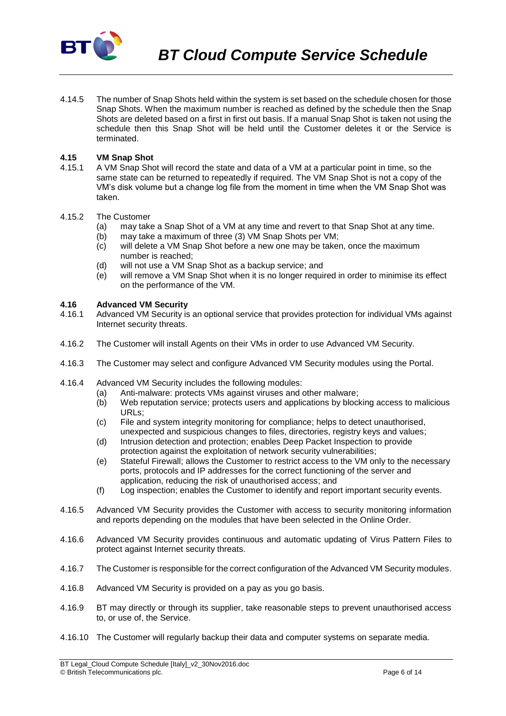

4.14.5 The number of Snap Shots held within the system is set based on the schedule chosen for those Snap Shots. When the maximum number is reached as defined by the schedule then the Snap Shots are deleted based on a first in first out basis. If a manual Snap Shot is taken not using the schedule then this Snap Shot will be held until the Customer deletes it or the Service is terminated.

## **4.15 VM Snap Shot**

4.15.1 A VM Snap Shot will record the state and data of a VM at a particular point in time, so the same state can be returned to repeatedly if required. The VM Snap Shot is not a copy of the VM's disk volume but a change log file from the moment in time when the VM Snap Shot was taken.

#### 4.15.2 The Customer

- (a) may take a Snap Shot of a VM at any time and revert to that Snap Shot at any time.
- (b) may take a maximum of three (3) VM Snap Shots per VM;
- (c) will delete a VM Snap Shot before a new one may be taken, once the maximum number is reached;
- (d) will not use a VM Snap Shot as a backup service; and
- (e) will remove a VM Snap Shot when it is no longer required in order to minimise its effect on the performance of the VM.

## **4.16 Advanced VM Security**

- 4.16.1 Advanced VM Security is an optional service that provides protection for individual VMs against Internet security threats.
- 4.16.2 The Customer will install Agents on their VMs in order to use Advanced VM Security.
- 4.16.3 The Customer may select and configure Advanced VM Security modules using the Portal.
- 4.16.4 Advanced VM Security includes the following modules:
	- (a) Anti-malware: protects VMs against viruses and other malware;
	- (b) Web reputation service; protects users and applications by blocking access to malicious URLs;
	- (c) File and system integrity monitoring for compliance; helps to detect unauthorised, unexpected and suspicious changes to files, directories, registry keys and values;
	- (d) Intrusion detection and protection; enables Deep Packet Inspection to provide protection against the exploitation of network security vulnerabilities;
	- (e) Stateful Firewall; allows the Customer to restrict access to the VM only to the necessary ports, protocols and IP addresses for the correct functioning of the server and application, reducing the risk of unauthorised access; and
	- (f) Log inspection; enables the Customer to identify and report important security events.
- 4.16.5 Advanced VM Security provides the Customer with access to security monitoring information and reports depending on the modules that have been selected in the Online Order.
- 4.16.6 Advanced VM Security provides continuous and automatic updating of Virus Pattern Files to protect against Internet security threats.
- 4.16.7 The Customer is responsible for the correct configuration of the Advanced VM Security modules.
- 4.16.8 Advanced VM Security is provided on a pay as you go basis.
- 4.16.9 BT may directly or through its supplier, take reasonable steps to prevent unauthorised access to, or use of, the Service.
- 4.16.10 The Customer will regularly backup their data and computer systems on separate media.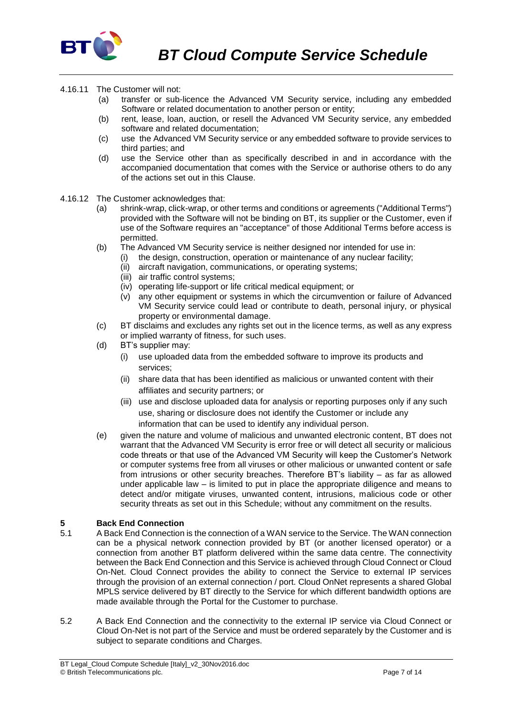

- 4.16.11 The Customer will not:
	- (a) transfer or sub-licence the Advanced VM Security service, including any embedded Software or related documentation to another person or entity;
	- (b) rent, lease, loan, auction, or resell the Advanced VM Security service, any embedded software and related documentation;
	- (c) use the Advanced VM Security service or any embedded software to provide services to third parties; and
	- (d) use the Service other than as specifically described in and in accordance with the accompanied documentation that comes with the Service or authorise others to do any of the actions set out in this Clause.
- 4.16.12 The Customer acknowledges that:
	- (a) shrink-wrap, click-wrap, or other terms and conditions or agreements ("Additional Terms") provided with the Software will not be binding on BT, its supplier or the Customer, even if use of the Software requires an "acceptance" of those Additional Terms before access is permitted.
	- (b) The Advanced VM Security service is neither designed nor intended for use in:
		- (i) the design, construction, operation or maintenance of any nuclear facility;
			- (ii) aircraft navigation, communications, or operating systems;
			- (iii) air traffic control systems:
			- (iv) operating life-support or life critical medical equipment; or
			- (v) any other equipment or systems in which the circumvention or failure of Advanced VM Security service could lead or contribute to death, personal injury, or physical property or environmental damage.
	- (c) BT disclaims and excludes any rights set out in the licence terms, as well as any express or implied warranty of fitness, for such uses.
	- (d) BT's supplier may:
		- (i) use uploaded data from the embedded software to improve its products and services;
		- (ii) share data that has been identified as malicious or unwanted content with their affiliates and security partners; or
		- (iii) use and disclose uploaded data for analysis or reporting purposes only if any such use, sharing or disclosure does not identify the Customer or include any information that can be used to identify any individual person.
	- (e) given the nature and volume of malicious and unwanted electronic content, BT does not warrant that the Advanced VM Security is error free or will detect all security or malicious code threats or that use of the Advanced VM Security will keep the Customer's Network or computer systems free from all viruses or other malicious or unwanted content or safe from intrusions or other security breaches. Therefore BT's liability – as far as allowed under applicable law – is limited to put in place the appropriate diligence and means to detect and/or mitigate viruses, unwanted content, intrusions, malicious code or other security threats as set out in this Schedule; without any commitment on the results.

## **5 Back End Connection**

- 5.1 A Back End Connection is the connection of a WAN service to the Service. The WAN connection can be a physical network connection provided by BT (or another licensed operator) or a connection from another BT platform delivered within the same data centre. The connectivity between the Back End Connection and this Service is achieved through Cloud Connect or Cloud On-Net. Cloud Connect provides the ability to connect the Service to external IP services through the provision of an external connection / port. Cloud OnNet represents a shared Global MPLS service delivered by BT directly to the Service for which different bandwidth options are made available through the Portal for the Customer to purchase.
- 5.2 A Back End Connection and the connectivity to the external IP service via Cloud Connect or Cloud On-Net is not part of the Service and must be ordered separately by the Customer and is subject to separate conditions and Charges.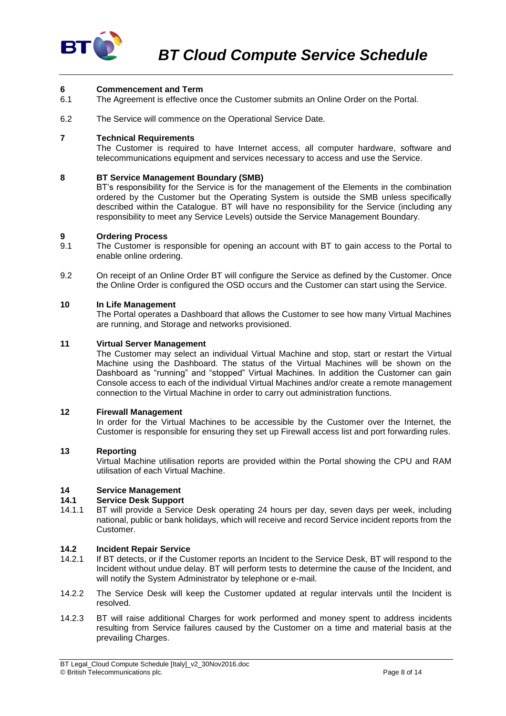

### **6 Commencement and Term**

- 6.1 The Agreement is effective once the Customer submits an Online Order on the Portal.
- 6.2 The Service will commence on the Operational Service Date.

#### **7 Technical Requirements**

The Customer is required to have Internet access, all computer hardware, software and telecommunications equipment and services necessary to access and use the Service.

#### **8 BT Service Management Boundary (SMB)**

BT's responsibility for the Service is for the management of the Elements in the combination ordered by the Customer but the Operating System is outside the SMB unless specifically described within the Catalogue. BT will have no responsibility for the Service (including any responsibility to meet any Service Levels) outside the Service Management Boundary.

#### **9 Ordering Process**

- 9.1 The Customer is responsible for opening an account with BT to gain access to the Portal to enable online ordering.
- 9.2 On receipt of an Online Order BT will configure the Service as defined by the Customer. Once the Online Order is configured the OSD occurs and the Customer can start using the Service.

## **10 In Life Management**

The Portal operates a Dashboard that allows the Customer to see how many Virtual Machines are running, and Storage and networks provisioned.

#### **11 Virtual Server Management**

The Customer may select an individual Virtual Machine and stop, start or restart the Virtual Machine using the Dashboard. The status of the Virtual Machines will be shown on the Dashboard as "running" and "stopped" Virtual Machines. In addition the Customer can gain Console access to each of the individual Virtual Machines and/or create a remote management connection to the Virtual Machine in order to carry out administration functions.

#### **12 Firewall Management**

In order for the Virtual Machines to be accessible by the Customer over the Internet, the Customer is responsible for ensuring they set up Firewall access list and port forwarding rules.

### **13 Reporting**

Virtual Machine utilisation reports are provided within the Portal showing the CPU and RAM utilisation of each Virtual Machine.

# **14 Service Management**

#### **14.1 Service Desk Support**

14.1.1 BT will provide a Service Desk operating 24 hours per day, seven days per week, including national, public or bank holidays, which will receive and record Service incident reports from the Customer.

#### **14.2 Incident Repair Service**

- 14.2.1 If BT detects, or if the Customer reports an Incident to the Service Desk, BT will respond to the Incident without undue delay. BT will perform tests to determine the cause of the Incident, and will notify the System Administrator by telephone or e-mail.
- 14.2.2 The Service Desk will keep the Customer updated at regular intervals until the Incident is resolved.
- 14.2.3 BT will raise additional Charges for work performed and money spent to address incidents resulting from Service failures caused by the Customer on a time and material basis at the prevailing Charges.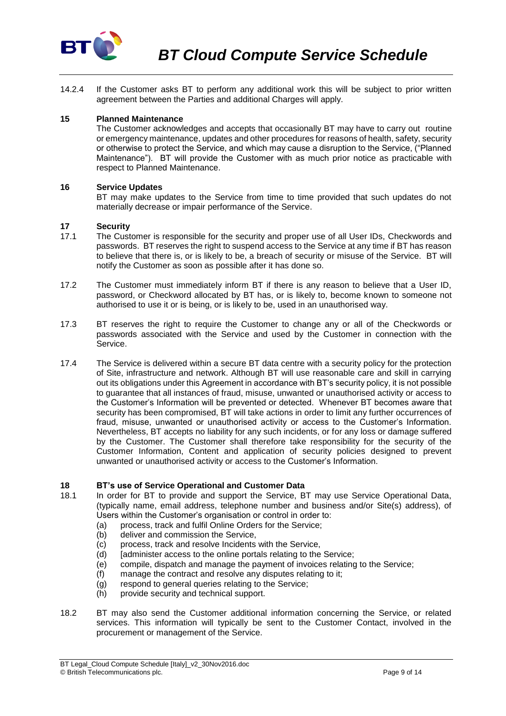

14.2.4 If the Customer asks BT to perform any additional work this will be subject to prior written agreement between the Parties and additional Charges will apply.

## **15 Planned Maintenance**

The Customer acknowledges and accepts that occasionally BT may have to carry out routine or emergency maintenance, updates and other procedures for reasons of health, safety, security or otherwise to protect the Service, and which may cause a disruption to the Service, ("Planned Maintenance"). BT will provide the Customer with as much prior notice as practicable with respect to Planned Maintenance.

#### **16 Service Updates**

BT may make updates to the Service from time to time provided that such updates do not materially decrease or impair performance of the Service.

#### **17 Security**

- 17.1 The Customer is responsible for the security and proper use of all User IDs, Checkwords and passwords. BT reserves the right to suspend access to the Service at any time if BT has reason to believe that there is, or is likely to be, a breach of security or misuse of the Service. BT will notify the Customer as soon as possible after it has done so.
- 17.2 The Customer must immediately inform BT if there is any reason to believe that a User ID, password, or Checkword allocated by BT has, or is likely to, become known to someone not authorised to use it or is being, or is likely to be, used in an unauthorised way.
- 17.3 BT reserves the right to require the Customer to change any or all of the Checkwords or passwords associated with the Service and used by the Customer in connection with the Service.
- 17.4 The Service is delivered within a secure BT data centre with a security policy for the protection of Site, infrastructure and network. Although BT will use reasonable care and skill in carrying out its obligations under this Agreement in accordance with BT's security policy, it is not possible to guarantee that all instances of fraud, misuse, unwanted or unauthorised activity or access to the Customer's Information will be prevented or detected. Whenever BT becomes aware that security has been compromised, BT will take actions in order to limit any further occurrences of fraud, misuse, unwanted or unauthorised activity or access to the Customer's Information. Nevertheless, BT accepts no liability for any such incidents, or for any loss or damage suffered by the Customer. The Customer shall therefore take responsibility for the security of the Customer Information, Content and application of security policies designed to prevent unwanted or unauthorised activity or access to the Customer's Information.

#### **18 BT's use of Service Operational and Customer Data**

- 18.1 In order for BT to provide and support the Service, BT may use Service Operational Data, (typically name, email address, telephone number and business and/or Site(s) address), of Users within the Customer's organisation or control in order to:
	- (a) process, track and fulfil Online Orders for the Service;
	- (b) deliver and commission the Service,
	- (c) process, track and resolve Incidents with the Service,<br>(d) [administer access to the online portals relating to the
	- fadminister access to the online portals relating to the Service;
	- (e) compile, dispatch and manage the payment of invoices relating to the Service;
	- (f) manage the contract and resolve any disputes relating to it;
	- (g) respond to general queries relating to the Service;
	- (h) provide security and technical support.
- 18.2 BT may also send the Customer additional information concerning the Service, or related services. This information will typically be sent to the Customer Contact, involved in the procurement or management of the Service.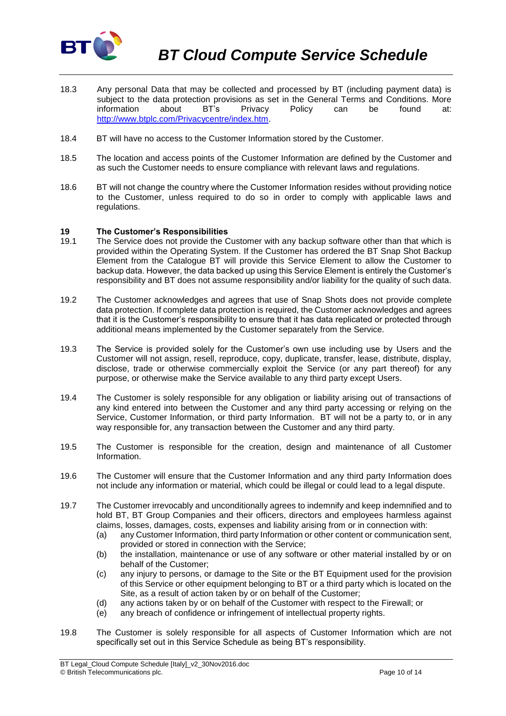

- 18.3 Any personal Data that may be collected and processed by BT (including payment data) is subject to the data protection provisions as set in the General Terms and Conditions. More information about BT's Privacy Policy can be found at: [http://www.btplc.com/Privacycentre/index.htm.](http://www.btplc.com/Privacycentre/index.htm)
- 18.4 BT will have no access to the Customer Information stored by the Customer.
- 18.5 The location and access points of the Customer Information are defined by the Customer and as such the Customer needs to ensure compliance with relevant laws and regulations.
- 18.6 BT will not change the country where the Customer Information resides without providing notice to the Customer, unless required to do so in order to comply with applicable laws and regulations.

#### **19 The Customer's Responsibilities**

- 19.1 The Service does not provide the Customer with any backup software other than that which is provided within the Operating System. If the Customer has ordered the BT Snap Shot Backup Element from the Catalogue BT will provide this Service Element to allow the Customer to backup data. However, the data backed up using this Service Element is entirely the Customer's responsibility and BT does not assume responsibility and/or liability for the quality of such data.
- 19.2 The Customer acknowledges and agrees that use of Snap Shots does not provide complete data protection. If complete data protection is required, the Customer acknowledges and agrees that it is the Customer's responsibility to ensure that it has data replicated or protected through additional means implemented by the Customer separately from the Service.
- 19.3 The Service is provided solely for the Customer's own use including use by Users and the Customer will not assign, resell, reproduce, copy, duplicate, transfer, lease, distribute, display, disclose, trade or otherwise commercially exploit the Service (or any part thereof) for any purpose, or otherwise make the Service available to any third party except Users.
- 19.4 The Customer is solely responsible for any obligation or liability arising out of transactions of any kind entered into between the Customer and any third party accessing or relying on the Service, Customer Information, or third party Information. BT will not be a party to, or in any way responsible for, any transaction between the Customer and any third party.
- 19.5 The Customer is responsible for the creation, design and maintenance of all Customer Information.
- 19.6 The Customer will ensure that the Customer Information and any third party Information does not include any information or material, which could be illegal or could lead to a legal dispute.
- 19.7 The Customer irrevocably and unconditionally agrees to indemnify and keep indemnified and to hold BT, BT Group Companies and their officers, directors and employees harmless against claims, losses, damages, costs, expenses and liability arising from or in connection with:
	- (a) any Customer Information, third party Information or other content or communication sent, provided or stored in connection with the Service;
	- (b) the installation, maintenance or use of any software or other material installed by or on behalf of the Customer;
	- (c) any injury to persons, or damage to the Site or the BT Equipment used for the provision of this Service or other equipment belonging to BT or a third party which is located on the Site, as a result of action taken by or on behalf of the Customer;
	- (d) any actions taken by or on behalf of the Customer with respect to the Firewall; or
	- (e) any breach of confidence or infringement of intellectual property rights.
- 19.8 The Customer is solely responsible for all aspects of Customer Information which are not specifically set out in this Service Schedule as being BT's responsibility.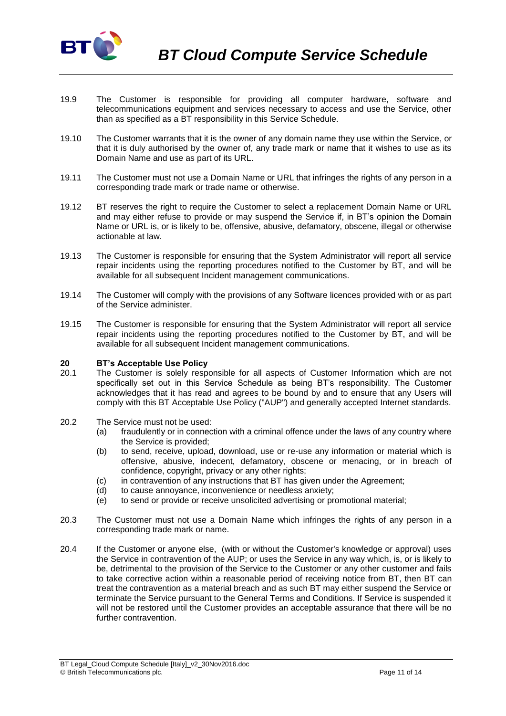

- 19.9 The Customer is responsible for providing all computer hardware, software and telecommunications equipment and services necessary to access and use the Service, other than as specified as a BT responsibility in this Service Schedule.
- 19.10 The Customer warrants that it is the owner of any domain name they use within the Service, or that it is duly authorised by the owner of, any trade mark or name that it wishes to use as its Domain Name and use as part of its URL.
- 19.11 The Customer must not use a Domain Name or URL that infringes the rights of any person in a corresponding trade mark or trade name or otherwise.
- 19.12 BT reserves the right to require the Customer to select a replacement Domain Name or URL and may either refuse to provide or may suspend the Service if, in BT's opinion the Domain Name or URL is, or is likely to be, offensive, abusive, defamatory, obscene, illegal or otherwise actionable at law.
- 19.13 The Customer is responsible for ensuring that the System Administrator will report all service repair incidents using the reporting procedures notified to the Customer by BT, and will be available for all subsequent Incident management communications.
- 19.14 The Customer will comply with the provisions of any Software licences provided with or as part of the Service administer.
- 19.15 The Customer is responsible for ensuring that the System Administrator will report all service repair incidents using the reporting procedures notified to the Customer by BT, and will be available for all subsequent Incident management communications.

#### **20 BT's Acceptable Use Policy**

- 20.1 The Customer is solely responsible for all aspects of Customer Information which are not specifically set out in this Service Schedule as being BT's responsibility. The Customer acknowledges that it has read and agrees to be bound by and to ensure that any Users will comply with this BT Acceptable Use Policy ("AUP") and generally accepted Internet standards.
- 20.2 The Service must not be used:
	- (a) fraudulently or in connection with a criminal offence under the laws of any country where the Service is provided;
	- (b) to send, receive, upload, download, use or re-use any information or material which is offensive, abusive, indecent, defamatory, obscene or menacing, or in breach of confidence, copyright, privacy or any other rights;
	- (c) in contravention of any instructions that BT has given under the Agreement;
	- (d) to cause annoyance, inconvenience or needless anxiety;
	- (e) to send or provide or receive unsolicited advertising or promotional material;
- 20.3 The Customer must not use a Domain Name which infringes the rights of any person in a corresponding trade mark or name.
- 20.4 If the Customer or anyone else, (with or without the Customer's knowledge or approval) uses the Service in contravention of the AUP; or uses the Service in any way which, is, or is likely to be, detrimental to the provision of the Service to the Customer or any other customer and fails to take corrective action within a reasonable period of receiving notice from BT, then BT can treat the contravention as a material breach and as such BT may either suspend the Service or terminate the Service pursuant to the General Terms and Conditions. If Service is suspended it will not be restored until the Customer provides an acceptable assurance that there will be no further contravention.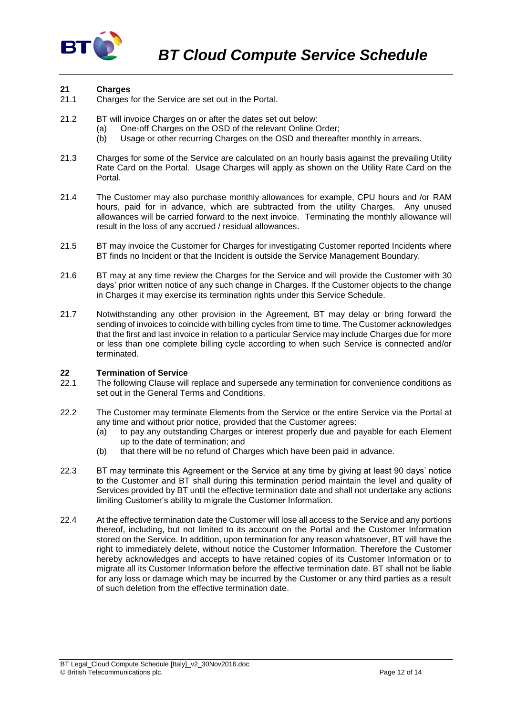

## **21 Charges**

- Charges for the Service are set out in the Portal.
- 21.2 BT will invoice Charges on or after the dates set out below:
	- (a) One-off Charges on the OSD of the relevant Online Order:
	- (b) Usage or other recurring Charges on the OSD and thereafter monthly in arrears.
- 21.3 Charges for some of the Service are calculated on an hourly basis against the prevailing Utility Rate Card on the Portal. Usage Charges will apply as shown on the Utility Rate Card on the Portal.
- 21.4 The Customer may also purchase monthly allowances for example, CPU hours and /or RAM hours, paid for in advance, which are subtracted from the utility Charges. Any unused allowances will be carried forward to the next invoice. Terminating the monthly allowance will result in the loss of any accrued / residual allowances.
- 21.5 BT may invoice the Customer for Charges for investigating Customer reported Incidents where BT finds no Incident or that the Incident is outside the Service Management Boundary.
- 21.6 BT may at any time review the Charges for the Service and will provide the Customer with 30 days' prior written notice of any such change in Charges. If the Customer objects to the change in Charges it may exercise its termination rights under this Service Schedule.
- 21.7 Notwithstanding any other provision in the Agreement, BT may delay or bring forward the sending of invoices to coincide with billing cycles from time to time. The Customer acknowledges that the first and last invoice in relation to a particular Service may include Charges due for more or less than one complete billing cycle according to when such Service is connected and/or terminated.

## **22 Termination of Service**

- The following Clause will replace and supersede any termination for convenience conditions as set out in the General Terms and Conditions.
- 22.2 The Customer may terminate Elements from the Service or the entire Service via the Portal at any time and without prior notice, provided that the Customer agrees:
	- (a) to pay any outstanding Charges or interest properly due and payable for each Element up to the date of termination; and
	- (b) that there will be no refund of Charges which have been paid in advance.
- 22.3 BT may terminate this Agreement or the Service at any time by giving at least 90 days' notice to the Customer and BT shall during this termination period maintain the level and quality of Services provided by BT until the effective termination date and shall not undertake any actions limiting Customer's ability to migrate the Customer Information.
- 22.4 At the effective termination date the Customer will lose all access to the Service and any portions thereof, including, but not limited to its account on the Portal and the Customer Information stored on the Service. In addition, upon termination for any reason whatsoever, BT will have the right to immediately delete, without notice the Customer Information. Therefore the Customer hereby acknowledges and accepts to have retained copies of its Customer Information or to migrate all its Customer Information before the effective termination date. BT shall not be liable for any loss or damage which may be incurred by the Customer or any third parties as a result of such deletion from the effective termination date.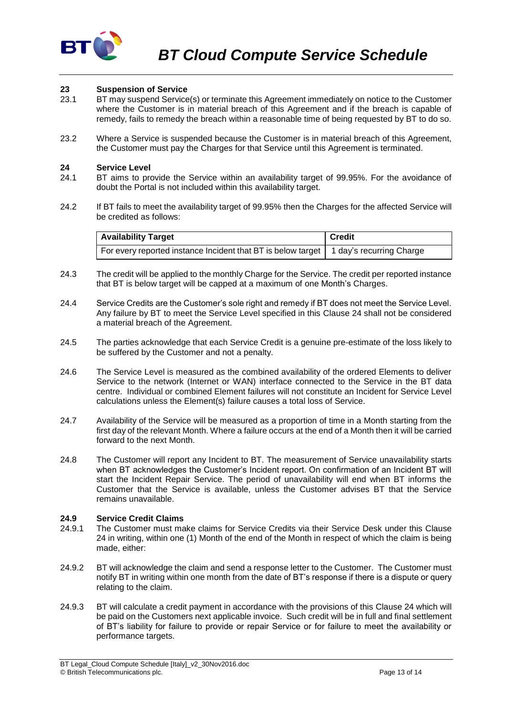

# **23 Suspension of Service**

- 23.1 BT may suspend Service(s) or terminate this Agreement immediately on notice to the Customer where the Customer is in material breach of this Agreement and if the breach is capable of remedy, fails to remedy the breach within a reasonable time of being requested by BT to do so.
- 23.2 Where a Service is suspended because the Customer is in material breach of this Agreement, the Customer must pay the Charges for that Service until this Agreement is terminated.

#### **24 Service Level**

- 24.1 BT aims to provide the Service within an availability target of 99.95%. For the avoidance of doubt the Portal is not included within this availability target.
- 24.2 If BT fails to meet the availability target of 99.95% then the Charges for the affected Service will be credited as follows:

| <b>Availability Target</b>                                                              | <b>Credit</b> |
|-----------------------------------------------------------------------------------------|---------------|
| For every reported instance Incident that BT is below target   1 day's recurring Charge |               |

- 24.3 The credit will be applied to the monthly Charge for the Service. The credit per reported instance that BT is below target will be capped at a maximum of one Month's Charges.
- 24.4 Service Credits are the Customer's sole right and remedy if BT does not meet the Service Level. Any failure by BT to meet the Service Level specified in this Clause 24 shall not be considered a material breach of the Agreement.
- 24.5 The parties acknowledge that each Service Credit is a genuine pre-estimate of the loss likely to be suffered by the Customer and not a penalty.
- 24.6 The Service Level is measured as the combined availability of the ordered Elements to deliver Service to the network (Internet or WAN) interface connected to the Service in the BT data centre. Individual or combined Element failures will not constitute an Incident for Service Level calculations unless the Element(s) failure causes a total loss of Service.
- 24.7 Availability of the Service will be measured as a proportion of time in a Month starting from the first day of the relevant Month. Where a failure occurs at the end of a Month then it will be carried forward to the next Month.
- 24.8 The Customer will report any Incident to BT. The measurement of Service unavailability starts when BT acknowledges the Customer's Incident report. On confirmation of an Incident BT will start the Incident Repair Service. The period of unavailability will end when BT informs the Customer that the Service is available, unless the Customer advises BT that the Service remains unavailable.

#### **24.9 Service Credit Claims**

- 24.9.1 The Customer must make claims for Service Credits via their Service Desk under this Clause 24 in writing, within one (1) Month of the end of the Month in respect of which the claim is being made, either:
- 24.9.2 BT will acknowledge the claim and send a response letter to the Customer. The Customer must notify BT in writing within one month from the date of BT's response if there is a dispute or query relating to the claim.
- 24.9.3 BT will calculate a credit payment in accordance with the provisions of this Clause 24 which will be paid on the Customers next applicable invoice. Such credit will be in full and final settlement of BT's liability for failure to provide or repair Service or for failure to meet the availability or performance targets.